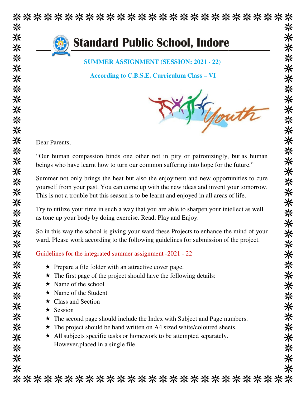

米 米 米 米 \*\*\*\*\*\*\*\*\*\*\*\*\*\*\*\*\*\*\*\* ※ ※ 米 ※ 米 \*\*\*\*\*\*\* \*\*\*\*\*\*\*\*\*\*\*\*\*\*\*\*\*\*\*\*\*\*\*\*\*\*\*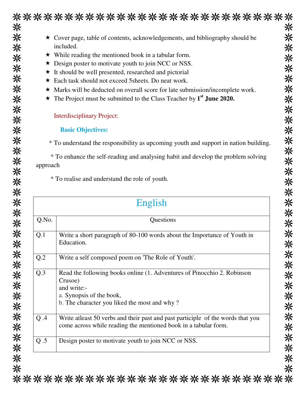|          | ***************************                                                                                                                         |
|----------|-----------------------------------------------------------------------------------------------------------------------------------------------------|
|          | ★ Cover page, table of contents, acknowledgements, and bibliography should be                                                                       |
|          | included.                                                                                                                                           |
|          | $\star$ While reading the mentioned book in a tabular form.                                                                                         |
|          | ★ Design poster to motivate youth to join NCC or NSS.                                                                                               |
|          | ★ It should be well presented, researched and pictorial                                                                                             |
|          | * Each task should not exceed 5 sheets. Do neat work.                                                                                               |
|          | * Marks will be deducted on overall score for late submission/incomplete work.                                                                      |
| ★        | The Project must be submitted to the Class Teacher by 1 <sup>st</sup> June 2020.                                                                    |
|          | <b>Interdisciplinary Project:</b>                                                                                                                   |
|          | <b>Basic Objectives:</b>                                                                                                                            |
|          | * To understand the responsibility as upcoming youth and support in nation building.                                                                |
|          | * To enhance the self-reading and analysing habit and develop the problem solving                                                                   |
|          |                                                                                                                                                     |
| approach | * To realise and understand the role of youth.                                                                                                      |
|          | English                                                                                                                                             |
| Q.No.    | Questions                                                                                                                                           |
| Q.1      | Write a short paragraph of 80-100 words about the Importance of Youth in<br>Education.                                                              |
| Q.2      | Write a self composed poem on 'The Role of Youth'.                                                                                                  |
| Q.3      | Read the following books online (1. Adventures of Pinocchio 2. Robinson                                                                             |
|          | Crusoe)                                                                                                                                             |
|          | and write:-                                                                                                                                         |
|          | a. Synopsis of the book,<br>b. The character you liked the most and why?                                                                            |
| Q.A      | Write at least 50 verbs and their past and past participle of the words that you<br>come across while reading the mentioned book in a tabular form. |

 $\Rightarrow$ 

\*\*\*\*\*\*\*\*\*\*\*\*\*\*\*\*\*\*\*\*\*\*\*\*\*\*\*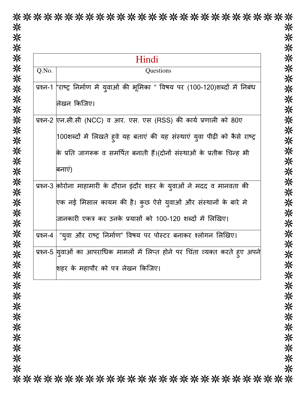|          | Hindi                                                                               |  |  |
|----------|-------------------------------------------------------------------------------------|--|--|
| Q.No.    | Questions                                                                           |  |  |
|          | प्रश्न-1 ''राष्ट्र निर्माण में युवाओं की भूमिका " विषय पर (100-120)शब्दों में निबंध |  |  |
|          | लिखन किजिए।                                                                         |  |  |
|          | प्रश्न-2 एन.सी.सी (NCC) व आर. एस. एस (RSS) की कार्य प्रणाली को 80ए                  |  |  |
|          | 100शब्दों में लिखते हुवे यह बताएं की यह संस्थाएं युवा पीढ़ी को कैसे राष्ट्र         |  |  |
|          | कि प्रति जागरूक व समर्पित बनाती हैं।(दोनों संस्थाओं के प्रतीक चिन्ह भी              |  |  |
|          | बनाएं)                                                                              |  |  |
|          | प्रश्न-3 कोरोना माहामारी के दौरान इंदौर शहर के युवाओं ने मदद व मानवता की            |  |  |
|          | एक नई मिसाल कायम की है। कुछ ऐसे युवाओं और संस्थानों के बारे मे                      |  |  |
|          | जानकारी एकत्र कर उनके प्रयासों को 100-120 शब्दों में लिखिए।                         |  |  |
|          | प्रश्न-4   "युवा और राष्ट्र निर्माण" विषय पर पोस्टर बनाकर श्लोगन लिखिए।             |  |  |
| प्रश्न-5 | यवाओं का आपराधिक मामलों में लिप्त होने पर चिंता व्यक्त करते हुए अपने                |  |  |
|          | शहर के महापौर को पत्र लेखन किजिए।                                                   |  |  |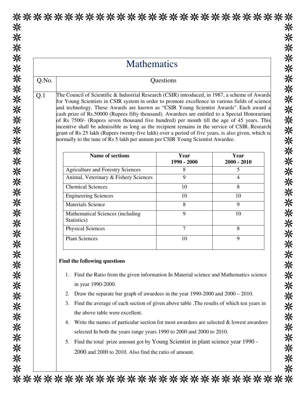## \*\*\*\*\*\*\*\*\*\*\*\*\*\*\*\*\*\*\*\*\*\*\*\*\*\*\* 米 米 米米米米米米米米米米米米米米米米米米米米米米米米米米米米米米米米米米 **Mathematics** Q.No. Questions Q.1 The Council of Scientific & Industrial Research (CSIR) introduced, in 1987, a scheme of Awards for Young Scientists in CSIR system in order to promote excellence in various fields of science and technology. These Awards are known as "CSIR Young Scientist Awards". Each award a cash prize of Rs.50000 (Rupees fifty thousand). Awardees are entitled to a Special Honorarium of Rs 7500/- (Rupees seven thousand five hundred) per month till the age of 45 years. This incentive shall be admissible as long as the recipient remains in the service of CSIR. Research grant of Rs 25 lakh (Rupees twenty-five lakh) over a period of five years, is also given, which is normally to the tune of Rs 5 lakh per annum per CSIR Young Scientist Awardee. **Name of sections Year Year 1990 - 2000 2000 - 2010**  Agriculture and Forestry Sciences 1 8 5 Animal, Veterinary & Fishery Sciences | 9 4 Chemical Sciences 10 8 Engineering Sciences 10 10 10 Materials Science 8 9 Mathematical Sciences (including 9 10 Statistics) Physical Sciences 2 8 Plant Sciences and 10 9 **Find the following questions**  1. Find the Ratio from the given information In Material science and Mathematics science in year 1990-2000. 2. Draw the separate bar graph of awardees in the year 1990-2000 and 2000 – 2010. 3. Find the average of each section of given above table .The results of which ten years in the above table were excellent. 4. Write the names of particular section for most awardees are selected & lowest awardees selected In both the years range years 1990 to 2000 and 2000 to 2010. 5. Find the total prize amount got by Young Scientist in plant science year 1990 - 2000 and 2000 to 2010. Also find the ratio of amount. \*\*\*\*\*\*\*\*\*\*\*\*\*\*\*\*\*\*\*\*\*\*\*\*\*\*\*\*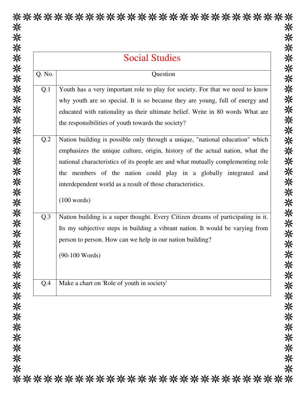| Q. No.<br>Question<br>Q.1<br>the responsibilities of youth towards the society?<br>Q.2<br>interdependent world as a result of those characteristics.<br>(100 words)<br>Q.3<br>person to person. How can we help in our nation building?<br>$(90-100$ Words)<br>Make a chart on 'Role of youth in society'<br>Q.4 | <b>Social Studies</b> |                                                                                                                                                                                                                                                                                                                        |
|------------------------------------------------------------------------------------------------------------------------------------------------------------------------------------------------------------------------------------------------------------------------------------------------------------------|-----------------------|------------------------------------------------------------------------------------------------------------------------------------------------------------------------------------------------------------------------------------------------------------------------------------------------------------------------|
|                                                                                                                                                                                                                                                                                                                  |                       |                                                                                                                                                                                                                                                                                                                        |
|                                                                                                                                                                                                                                                                                                                  |                       | Youth has a very important role to play for society. For that we need to know<br>why youth are so special. It is so because they are young, full of energy and<br>educated with rationality as their ultimate belief. Write in 80 words What are                                                                       |
|                                                                                                                                                                                                                                                                                                                  |                       | Nation building is possible only through a unique, "national education" which<br>emphasizes the unique culture, origin, history of the actual nation, what the<br>national characteristics of its people are and what mutually complementing role<br>the members of the nation could play in a globally integrated and |
|                                                                                                                                                                                                                                                                                                                  |                       | Nation building is a super thought. Every Citizen dreams of participating in it.<br>Its my subjective steps in building a vibrant nation. It would be varying from                                                                                                                                                     |
|                                                                                                                                                                                                                                                                                                                  |                       |                                                                                                                                                                                                                                                                                                                        |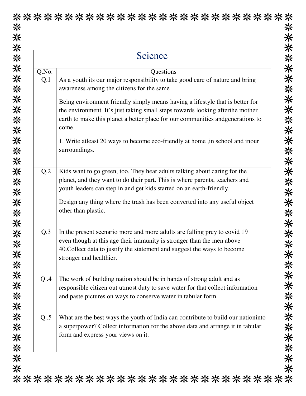| Science         |                                                                                                                                                                                                                                                             |
|-----------------|-------------------------------------------------------------------------------------------------------------------------------------------------------------------------------------------------------------------------------------------------------------|
| Q.No.           | Questions                                                                                                                                                                                                                                                   |
| Q.1             | As a youth its our major responsibility to take good care of nature and bring<br>awareness among the citizens for the same                                                                                                                                  |
|                 | Being environment friendly simply means having a lifestyle that is better for<br>the environment. It's just taking small steps towards looking after the mother<br>earth to make this planet a better place for our communities and generations to<br>come. |
|                 | 1. Write at least 20 ways to become eco-friendly at home, in school and inour<br>surroundings.                                                                                                                                                              |
| Q.2             | Kids want to go green, too. They hear adults talking about caring for the<br>planet, and they want to do their part. This is where parents, teachers and<br>youth leaders can step in and get kids started on an earth-friendly.                            |
|                 | Design any thing where the trash has been converted into any useful object<br>other than plastic.                                                                                                                                                           |
| Q <sub>.3</sub> | In the present scenario more and more adults are falling prey to covid 19<br>even though at this age their immunity is stronger than the men above<br>40. Collect data to justify the statement and suggest the ways to become<br>stronger and healthier.   |
| Q.A             | The work of building nation should be in hands of strong adult and as<br>responsible citizen out utmost duty to save water for that collect information<br>and paste pictures on ways to conserve water in tabular form.                                    |
| Q.5             | What are the best ways the youth of India can contribute to build our nationinto<br>a superpower? Collect information for the above data and arrange it in tabular<br>form and express your views on it.                                                    |